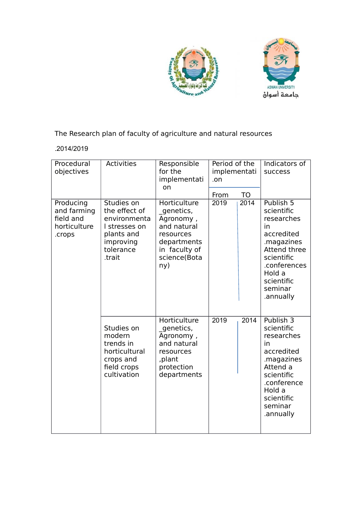



The Research plan of faculty of agriculture and natural resources

## .2014/2019

| Procedural<br>objectives                                        | <b>Activities</b>                                                                                              | Responsible<br>for the<br>implementati<br>on                                                                              | Period of the<br>implementati<br>.on |           | Indicators of<br>success                                                                                                                                                     |
|-----------------------------------------------------------------|----------------------------------------------------------------------------------------------------------------|---------------------------------------------------------------------------------------------------------------------------|--------------------------------------|-----------|------------------------------------------------------------------------------------------------------------------------------------------------------------------------------|
|                                                                 |                                                                                                                |                                                                                                                           | From                                 | <b>TO</b> |                                                                                                                                                                              |
| Producing<br>and farming<br>field and<br>horticulture<br>.crops | Studies on<br>the effect of<br>environmenta<br>I stresses on<br>plants and<br>improving<br>tolerance<br>.trait | Horticulture<br>genetics,<br>Agronomy,<br>and natural<br>resources<br>departments<br>in faculty of<br>science(Bota<br>ny) | 2019                                 | 2014      | Publish 5<br>scientific<br>researches<br>in<br>accredited<br>.magazines<br><b>Attend three</b><br>scientific<br>.conferences<br>Hold a<br>scientific<br>seminar<br>.annually |
|                                                                 | Studies on<br>modern<br>trends in<br>horticultural<br>crops and<br>field crops<br>cultivation                  | <b>Horticulture</b><br>genetics,<br>Agronomy,<br>and natural<br>resources<br>,plant<br>protection<br>departments          | 2019                                 | 2014      | Publish 3<br>scientific<br>researches<br>in<br>accredited<br>.magazines<br>Attend a<br>scientific<br>.conference<br>Hold a<br>scientific<br>seminar<br>.annually             |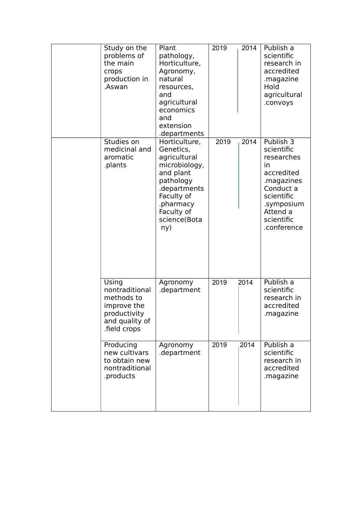| Study on the<br>problems of<br>the main<br>crops<br>production in<br>.Aswan                            | Plant<br>pathology,<br>Horticulture,<br>Agronomy,<br>natural<br>resources,<br>and<br>agricultural<br>economics<br>and<br>extension<br>.departments                    | 2019 | 2014 | Publish a<br>scientific<br>research in<br>accredited<br>.magazine<br>Hold<br>agricultural<br>.convoys                                                     |
|--------------------------------------------------------------------------------------------------------|-----------------------------------------------------------------------------------------------------------------------------------------------------------------------|------|------|-----------------------------------------------------------------------------------------------------------------------------------------------------------|
| Studies on<br>medicinal and<br>aromatic<br>.plants                                                     | Horticulture,<br>Genetics,<br>agricultural<br>microbiology,<br>and plant<br>pathology<br>.departments<br>Faculty of<br>.pharmacy<br>Faculty of<br>science(Bota<br>ny) | 2019 | 2014 | Publish 3<br>scientific<br>researches<br>in<br>accredited<br>.magazines<br>Conduct a<br>scientific<br>.symposium<br>Attend a<br>scientific<br>.conference |
| Using<br>nontraditional<br>methods to<br>improve the<br>productivity<br>and quality of<br>field crops. | Agronomy<br>.department                                                                                                                                               | 2019 | 2014 | Publish a<br>scientific<br>research in<br>accredited<br>.magazine                                                                                         |
| Producing<br>new cultivars<br>to obtain new<br>nontraditional<br>.products                             | Agronomy<br>.department                                                                                                                                               | 2019 | 2014 | Publish a<br>scientific<br>research in<br>accredited<br>.magazine                                                                                         |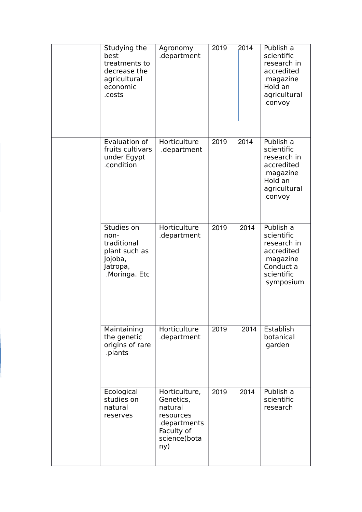| Studying the<br>best<br>treatments to<br>decrease the<br>agricultural<br>economic<br>.costs | Agronomy<br>.department                                                                                 | 2019 | 2014 | Publish a<br>scientific<br>research in<br>accredited<br>.magazine<br>Hold an<br>agricultural<br>.convoy    |
|---------------------------------------------------------------------------------------------|---------------------------------------------------------------------------------------------------------|------|------|------------------------------------------------------------------------------------------------------------|
| Evaluation of<br>fruits cultivars<br>under Egypt<br>.condition                              | Horticulture<br>.department                                                                             | 2019 | 2014 | Publish a<br>scientific<br>research in<br>accredited<br>.magazine<br>Hold an<br>agricultural<br>.convoy    |
| Studies on<br>non-<br>traditional<br>plant such as<br>Jojoba,<br>Jatropa,<br>Moringa. Etc.  | Horticulture<br>.department                                                                             | 2019 | 2014 | Publish a<br>scientific<br>research in<br>accredited<br>.magazine<br>Conduct a<br>scientific<br>.symposium |
| Maintaining<br>the genetic<br>origins of rare<br>.plants                                    | Horticulture<br>.department                                                                             | 2019 | 2014 | Establish<br>botanical<br>.garden                                                                          |
| Ecological<br>studies on<br>natural<br>reserves                                             | Horticulture,<br>Genetics,<br>natural<br>resources<br>departments.<br>Faculty of<br>science(bota<br>ny) | 2019 | 2014 | Publish a<br>scientific<br>research                                                                        |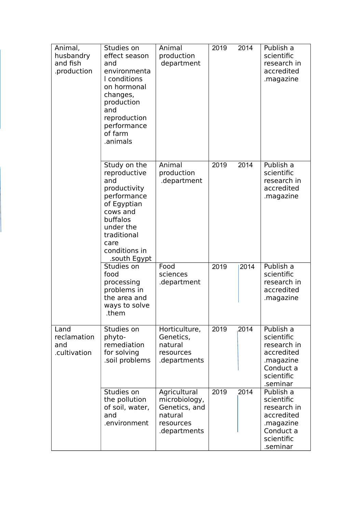| Animal,<br>husbandry<br>and fish<br>.production | Studies on<br>effect season<br>and<br>environmenta<br>I conditions<br>on hormonal<br>changes,<br>production<br>and<br>reproduction<br>performance<br>of farm<br>.animals       | Animal<br>production<br>department                                                     | 2019 | 2014  | Publish a<br>scientific<br>research in<br>accredited<br>.magazine                                        |
|-------------------------------------------------|--------------------------------------------------------------------------------------------------------------------------------------------------------------------------------|----------------------------------------------------------------------------------------|------|-------|----------------------------------------------------------------------------------------------------------|
|                                                 | Study on the<br>reproductive<br>and<br>productivity<br>performance<br>of Egyptian<br>cows and<br>buffalos<br>under the<br>traditional<br>care<br>conditions in<br>.south Egypt | Animal<br>production<br>.department                                                    | 2019 | 2014  | Publish a<br>scientific<br>research in<br>accredited<br>.magazine                                        |
|                                                 | Studies on<br>food<br>processing<br>problems in<br>the area and<br>ways to solve<br>.them                                                                                      | Food<br>sciences<br>.department                                                        | 2019 | 2014  | Publish a<br>scientific<br>research in<br>accredited<br>.magazine                                        |
| Land<br>reclamation<br>and<br>.cultivation      | Studies on<br>phyto-<br>remediation<br>for solving<br>soil problems.                                                                                                           | Horticulture,<br>Genetics,<br>natural<br>resources<br>.departments                     | 2019 | ,2014 | Publish a<br>scientific<br>research in<br>accredited<br>.magazine<br>Conduct a<br>scientific<br>.seminar |
|                                                 | Studies on<br>the pollution<br>of soil, water,<br>and<br>.environment                                                                                                          | Agricultural<br>microbiology,<br>Genetics, and<br>natural<br>resources<br>.departments | 2019 | 2014  | Publish a<br>scientific<br>research in<br>accredited<br>.magazine<br>Conduct a<br>scientific<br>.seminar |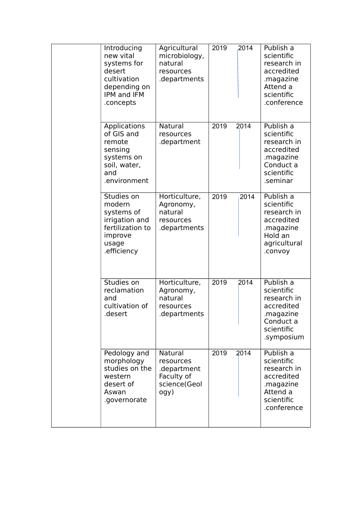| Introducing<br>new vital<br>systems for<br>desert<br>cultivation<br>depending on<br><b>IPM and IFM</b><br>.concepts | Agricultural<br>microbiology,<br>natural<br>resources<br>.departments     | 2019 | 2014 | Publish a<br>scientific<br>research in<br>accredited<br>.magazine<br>Attend a<br>scientific<br>.conference |
|---------------------------------------------------------------------------------------------------------------------|---------------------------------------------------------------------------|------|------|------------------------------------------------------------------------------------------------------------|
| Applications<br>of GIS and<br>remote<br>sensing<br>systems on<br>soil, water,<br>and<br>.environment                | Natural<br>resources<br>.department                                       | 2019 | 2014 | Publish a<br>scientific<br>research in<br>accredited<br>.magazine<br>Conduct a<br>scientific<br>.seminar   |
| Studies on<br>modern<br>systems of<br>irrigation and<br>fertilization to<br>improve<br>usage<br>.efficiency         | Horticulture,<br>Agronomy,<br>natural<br>resources<br>.departments        | 2019 | 2014 | Publish a<br>scientific<br>research in<br>accredited<br>.magazine<br>Hold an<br>agricultural<br>.convoy    |
| Studies on<br>reclamation<br>and<br>cultivation of<br>desert                                                        | Horticulture,<br>Agronomy,<br>natural<br>resources<br>departments         | 2019 | 2014 | Publish a<br>scientific<br>research in<br>accredited<br>magazine.<br>Conduct a<br>scientific<br>.symposium |
| Pedology and<br>morphology<br>studies on the<br>western<br>desert of<br>Aswan<br>.governorate                       | Natural<br>resources<br>.department<br>Faculty of<br>science(Geol<br>ogy) | 2019 | 2014 | Publish a<br>scientific<br>research in<br>accredited<br>.magazine<br>Attend a<br>scientific<br>.conference |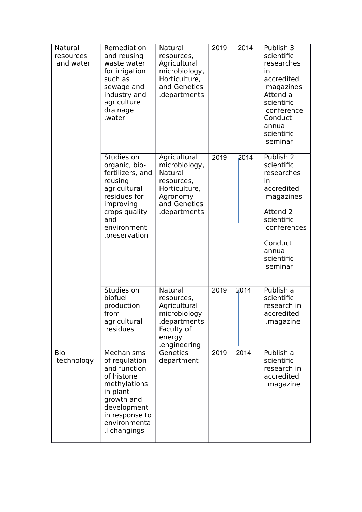| <b>Natural</b><br>resources<br>and water | Remediation<br>and reusing<br>waste water<br>for irrigation<br>such as<br>sewage and<br>industry and<br>agriculture<br>drainage<br>.water                            | Natural<br>resources,<br>Agricultural<br>microbiology,<br>Horticulture,<br>and Genetics<br>departments.             | 2019 | 2014 | Publish 3<br>scientific<br>researches<br>in.<br>accredited<br>.magazines<br>Attend a<br>scientific<br>.conference<br>Conduct<br>annual<br>scientific<br>.seminar        |
|------------------------------------------|----------------------------------------------------------------------------------------------------------------------------------------------------------------------|---------------------------------------------------------------------------------------------------------------------|------|------|-------------------------------------------------------------------------------------------------------------------------------------------------------------------------|
|                                          | Studies on<br>organic, bio-<br>fertilizers, and<br>reusing<br>agricultural<br>residues for<br>improving<br>crops quality<br>and<br>environment<br>.preservation      | Agricultural<br>microbiology,<br>Natural<br>resources,<br>Horticulture,<br>Agronomy<br>and Genetics<br>.departments | 2019 | 2014 | Publish 2<br>scientific<br>researches<br><i>in</i><br>accredited<br>.magazines<br>Attend 2<br>scientific<br>.conferences<br>Conduct<br>annual<br>scientific<br>.seminar |
|                                          | Studies on<br>biofuel<br>production<br>from<br>agricultural<br>.residues                                                                                             | Natural<br>resources,<br>Agricultural<br>microbiology<br>departments.<br>Faculty of<br>energy<br>.engineering       | 2019 | 2014 | Publish a<br>scientific<br>research in<br>accredited<br>.magazine                                                                                                       |
| Bio<br>technology                        | Mechanisms<br>of regulation<br>and function<br>of histone<br>methylations<br>in plant<br>growth and<br>development<br>in response to<br>environmenta<br>.I changings | Genetics<br>department                                                                                              | 2019 | 2014 | Publish a<br>scientific<br>research in<br>accredited<br>.magazine                                                                                                       |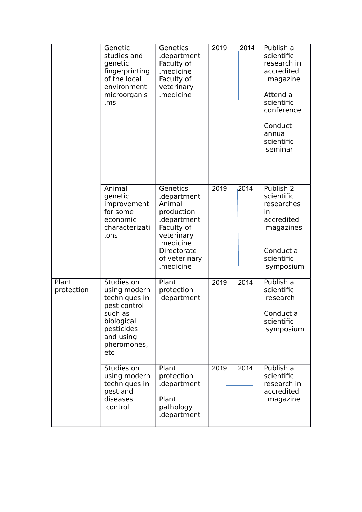|                     | Genetic<br>studies and<br>genetic<br>fingerprinting<br>of the local<br>environment<br>microorganis<br>.ms                             | Genetics<br>.department<br>Faculty of<br>.medicine<br>Faculty of<br>veterinary<br>.medicine                                                                 | 2019<br>2014 | Publish a<br>scientific<br>research in<br>accredited<br>.magazine<br>Attend a<br>scientific<br>conference<br>Conduct<br>annual<br>scientific<br>.seminar |
|---------------------|---------------------------------------------------------------------------------------------------------------------------------------|-------------------------------------------------------------------------------------------------------------------------------------------------------------|--------------|----------------------------------------------------------------------------------------------------------------------------------------------------------|
|                     | Animal<br>genetic<br>improvement<br>for some<br>economic<br>characterizati<br>.ons                                                    | <b>Genetics</b><br>.department<br>Animal<br>production<br>.department<br>Faculty of<br>veterinary<br>.medicine<br>Directorate<br>of veterinary<br>.medicine | 2019<br>2014 | Publish 2<br>scientific<br>researches<br>in.<br>accredited<br>.magazines<br>Conduct a<br>scientific<br>.symposium                                        |
| Plant<br>protection | Studies on<br>using modern<br>techniques in<br>pest control<br>such as<br>biological<br>pesticides<br>and using<br>pheromones,<br>etc | Plant<br>protection<br>department                                                                                                                           | 2019<br>2014 | Publish a<br>scientific<br>.research<br>Conduct a<br>scientific<br>.symposium                                                                            |
|                     | Studies on<br>using modern<br>techniques in<br>pest and<br>diseases<br>.control                                                       | Plant<br>protection<br>.department<br>Plant<br>pathology<br>.department                                                                                     | 2019<br>2014 | Publish a<br>scientific<br>research in<br>accredited<br>.magazine                                                                                        |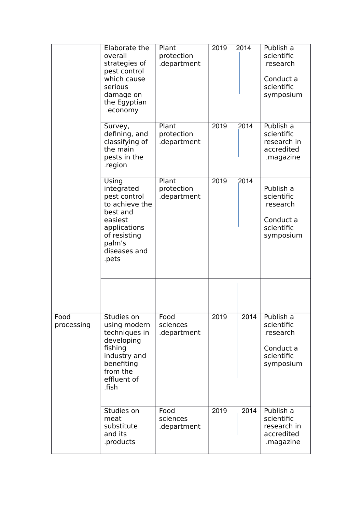|                    | Elaborate the<br>overall<br>strategies of<br>pest control<br>which cause<br>serious<br>damage on<br>the Egyptian<br>.economy                    | Plant<br>protection<br>.department | 2019 | 2014 | Publish a<br>scientific<br>.research<br>Conduct a<br>scientific<br>symposium |
|--------------------|-------------------------------------------------------------------------------------------------------------------------------------------------|------------------------------------|------|------|------------------------------------------------------------------------------|
|                    | Survey,<br>defining, and<br>classifying of<br>the main<br>pests in the<br>.region                                                               | Plant<br>protection<br>.department | 2019 | 2014 | Publish a<br>scientific<br>research in<br>accredited<br>.magazine            |
|                    | Using<br>integrated<br>pest control<br>to achieve the<br>best and<br>easiest<br>applications<br>of resisting<br>palm's<br>diseases and<br>.pets | Plant<br>protection<br>.department | 2019 | 2014 | Publish a<br>scientific<br>.research<br>Conduct a<br>scientific<br>symposium |
|                    |                                                                                                                                                 |                                    |      |      |                                                                              |
| Food<br>processing | Studies on<br>using modern<br>techniques in<br>developing<br>fishing<br>industry and<br>benefiting<br>from the<br>effluent of<br>.fish          | Food<br>sciences<br>.department    | 2019 | 2014 | Publish a<br>scientific<br>.research<br>Conduct a<br>scientific<br>symposium |
|                    | Studies on<br>meat<br>substitute<br>and its<br>.products                                                                                        | Food<br>sciences<br>.department    | 2019 | 2014 | Publish a<br>scientific<br>research in<br>accredited<br>.magazine            |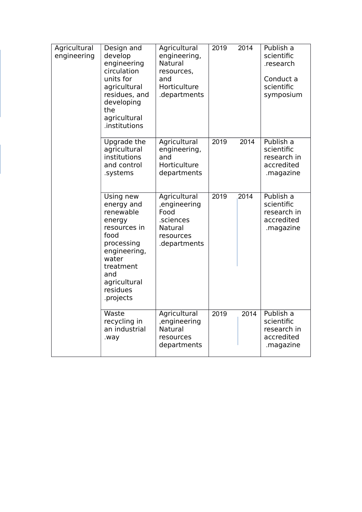| Agricultural<br>engineering | Design and<br>develop<br>engineering<br>circulation<br>units for<br>agricultural<br>residues, and<br>developing<br>the<br>agricultural<br>.institutions                    | Agricultural<br>engineering,<br><b>Natural</b><br>resources,<br>and<br>Horticulture<br>.departments | 2019 | 2014 | Publish a<br>scientific<br>.research<br>Conduct a<br>scientific<br>symposium |
|-----------------------------|----------------------------------------------------------------------------------------------------------------------------------------------------------------------------|-----------------------------------------------------------------------------------------------------|------|------|------------------------------------------------------------------------------|
|                             | Upgrade the<br>agricultural<br>institutions<br>and control<br>.systems                                                                                                     | Agricultural<br>engineering,<br>and<br>Horticulture<br>departments                                  | 2019 | 2014 | Publish a<br>scientific<br>research in<br>accredited<br>.magazine            |
|                             | Using new<br>energy and<br>renewable<br>energy<br>resources in<br>food<br>processing<br>engineering,<br>water<br>treatment<br>and<br>agricultural<br>residues<br>.projects | Agricultural<br>,engineering<br>Food<br>.sciences<br>Natural<br>resources<br>.departments           | 2019 | 2014 | Publish a<br>scientific<br>research in<br>accredited<br>.magazine            |
|                             | Waste<br>recycling in<br>an industrial<br>.way                                                                                                                             | Agricultural<br>,engineering<br>Natural<br>resources<br>departments                                 | 2019 | 2014 | Publish a<br>scientific<br>research in<br>accredited<br>.magazine            |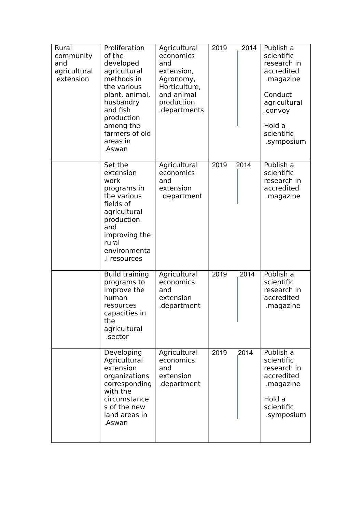| Rural<br>community<br>and<br>agricultural<br>extension | Proliferation<br>of the<br>developed<br>agricultural<br>methods in<br>the various<br>plant, animal,<br>husbandry<br>and fish<br>production<br>among the<br>farmers of old<br>areas in<br>.Aswan | Agricultural<br>economics<br>and<br>extension,<br>Agronomy,<br>Horticulture,<br>and animal<br>production<br>departments. | 2019 | 2014 | Publish a<br>scientific<br>research in<br>accredited<br>.magazine<br>Conduct<br>agricultural<br>.convoy<br>Hold a<br>scientific<br>.symposium |
|--------------------------------------------------------|-------------------------------------------------------------------------------------------------------------------------------------------------------------------------------------------------|--------------------------------------------------------------------------------------------------------------------------|------|------|-----------------------------------------------------------------------------------------------------------------------------------------------|
|                                                        | Set the<br>extension<br>work<br>programs in<br>the various<br>fields of<br>agricultural<br>production<br>and<br>improving the<br>rural<br>environmenta<br>.l resources                          | Agricultural<br>economics<br>and<br>extension<br>.department                                                             | 2019 | 2014 | Publish a<br>scientific<br>research in<br>accredited<br>.magazine                                                                             |
|                                                        | <b>Build training</b><br>programs to<br>improve the<br>human<br>resources<br>capacities in<br>the<br>agricultural<br>.sector                                                                    | Agricultural<br>economics<br>and<br>extension<br>.department                                                             | 2019 | 2014 | Publish a<br>scientific<br>research in<br>accredited<br>.magazine                                                                             |
|                                                        | Developing<br>Agricultural<br>extension<br>organizations<br>corresponding<br>with the<br>circumstance<br>s of the new<br>land areas in<br>.Aswan                                                | Agricultural<br>economics<br>and<br>extension<br>.department                                                             | 2019 | 2014 | Publish a<br>scientific<br>research in<br>accredited<br>.magazine<br>Hold a<br>scientific<br>.symposium                                       |